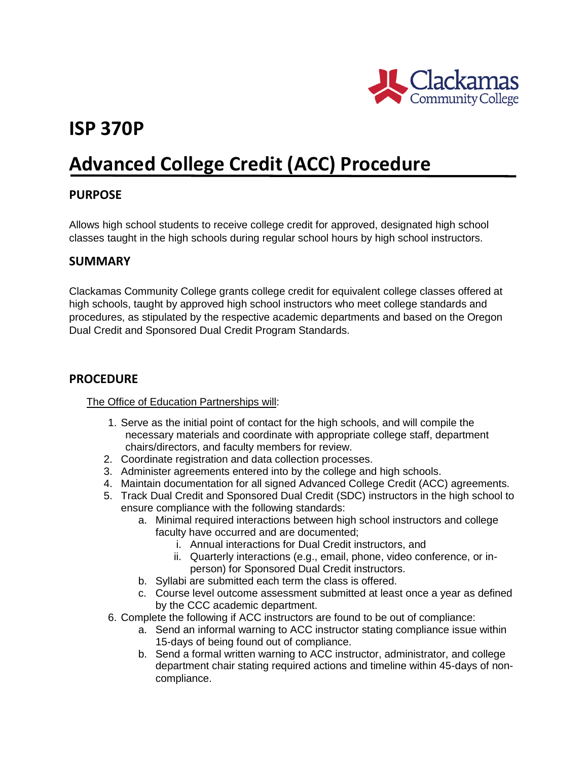

# **ISP 370P**

# **Advanced College Credit (ACC) Procedure**

## **PURPOSE**

Allows high school students to receive college credit for approved, designated high school classes taught in the high schools during regular school hours by high school instructors.

### **SUMMARY**

Clackamas Community College grants college credit for equivalent college classes offered at high schools, taught by approved high school instructors who meet college standards and procedures, as stipulated by the respective academic departments and based on the Oregon Dual Credit and Sponsored Dual Credit Program Standards.

## **PROCEDURE**

#### The Office of Education Partnerships will:

- 1. Serve as the initial point of contact for the high schools, and will compile the necessary materials and coordinate with appropriate college staff, department chairs/directors, and faculty members for review.
- 2. Coordinate registration and data collection processes.
- 3. Administer agreements entered into by the college and high schools.
- 4. Maintain documentation for all signed Advanced College Credit (ACC) agreements.
- 5. Track Dual Credit and Sponsored Dual Credit (SDC) instructors in the high school to ensure compliance with the following standards:
	- a. Minimal required interactions between high school instructors and college faculty have occurred and are documented;
		- i. Annual interactions for Dual Credit instructors, and
		- ii. Quarterly interactions (e.g., email, phone, video conference, or inperson) for Sponsored Dual Credit instructors.
	- b. Syllabi are submitted each term the class is offered.
	- c. Course level outcome assessment submitted at least once a year as defined by the CCC academic department.
- 6. Complete the following if ACC instructors are found to be out of compliance:
	- a. Send an informal warning to ACC instructor stating compliance issue within 15-days of being found out of compliance.
	- b. Send a formal written warning to ACC instructor, administrator, and college department chair stating required actions and timeline within 45-days of noncompliance.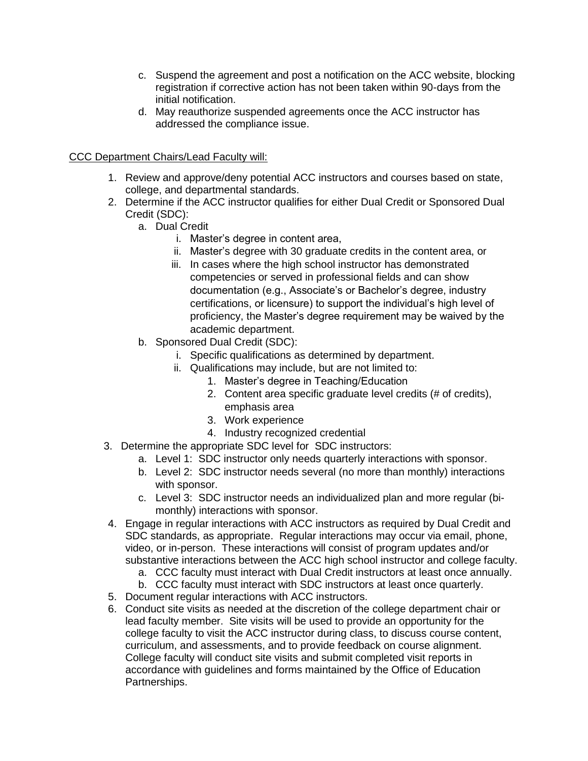- c. Suspend the agreement and post a notification on the ACC website, blocking registration if corrective action has not been taken within 90-days from the initial notification.
- d. May reauthorize suspended agreements once the ACC instructor has addressed the compliance issue.

#### CCC Department Chairs/Lead Faculty will:

- 1. Review and approve/deny potential ACC instructors and courses based on state, college, and departmental standards.
- 2. Determine if the ACC instructor qualifies for either Dual Credit or Sponsored Dual Credit (SDC):
	- a. Dual Credit
		- i. Master's degree in content area,
		- ii. Master's degree with 30 graduate credits in the content area, or
		- iii. In cases where the high school instructor has demonstrated competencies or served in professional fields and can show documentation (e.g., Associate's or Bachelor's degree, industry certifications, or licensure) to support the individual's high level of proficiency, the Master's degree requirement may be waived by the academic department.
	- b. Sponsored Dual Credit (SDC):
		- i. Specific qualifications as determined by department.
		- ii. Qualifications may include, but are not limited to:
			- 1. Master's degree in Teaching/Education
			- 2. Content area specific graduate level credits (# of credits), emphasis area
			- 3. Work experience
			- 4. Industry recognized credential
- 3. Determine the appropriate SDC level for SDC instructors:
	- a. Level 1: SDC instructor only needs quarterly interactions with sponsor.
	- b. Level 2: SDC instructor needs several (no more than monthly) interactions with sponsor.
	- c. Level 3: SDC instructor needs an individualized plan and more regular (bimonthly) interactions with sponsor.
- 4. Engage in regular interactions with ACC instructors as required by Dual Credit and SDC standards, as appropriate. Regular interactions may occur via email, phone, video, or in-person. These interactions will consist of program updates and/or substantive interactions between the ACC high school instructor and college faculty.
	- a. CCC faculty must interact with Dual Credit instructors at least once annually.
	- b. CCC faculty must interact with SDC instructors at least once quarterly.
- 5. Document regular interactions with ACC instructors.
- 6. Conduct site visits as needed at the discretion of the college department chair or lead faculty member. Site visits will be used to provide an opportunity for the college faculty to visit the ACC instructor during class, to discuss course content, curriculum, and assessments, and to provide feedback on course alignment. College faculty will conduct site visits and submit completed visit reports in accordance with guidelines and forms maintained by the Office of Education Partnerships.